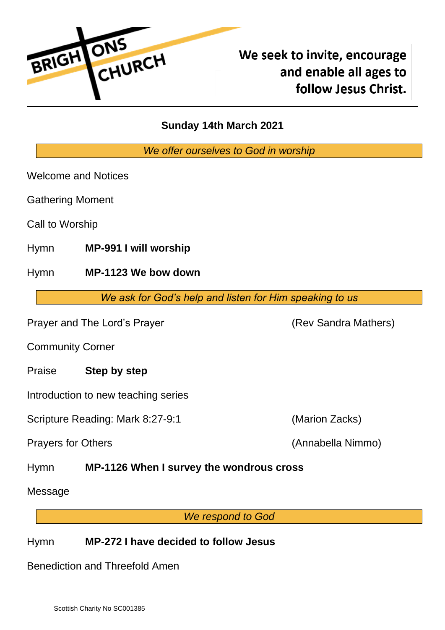

# We seek to invite, encourage and enable all ages to follow Jesus Christ.

# **Sunday 14th March 2021**

*We offer ourselves to God in worship*

Welcome and Notices

Gathering Moment

Call to Worship

Hymn **MP-991 I will worship**

Hymn **MP-1123 We bow down**

*We ask for God's help and listen for Him speaking to us*

Prayer and The Lord's Prayer (Rev Sandra Mathers)

Community Corner

Praise **Step by step**

Introduction to new teaching series

Scripture Reading: Mark 8:27-9:1 (Marion Zacks)

Prayers for Others (Annabella Nimmo)

Hymn **MP-1126 When I survey the wondrous cross**

Message

*We respond to God*

## Hymn **MP-272 I have decided to follow Jesus**

Benediction and Threefold Amen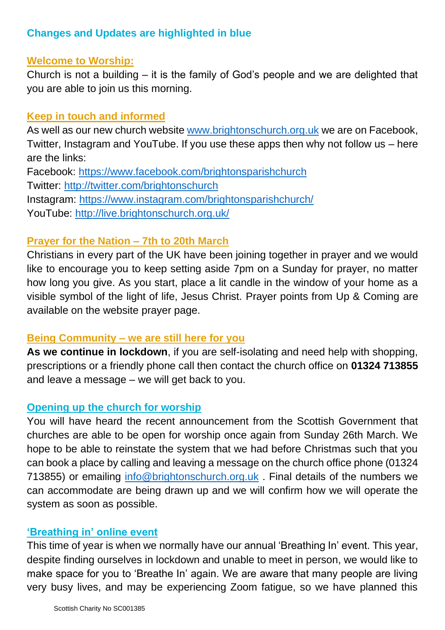## **Changes and Updates are highlighted in blue**

#### **Welcome to Worship:**

Church is not a building – it is the family of God's people and we are delighted that you are able to join us this morning.

#### **Keep in touch and informed**

As well as our new church website www.brightonschurch.org.uk we are on Facebook, Twitter, Instagram and YouTube. If you use these apps then why not follow us – here are the links: Facebook:<https://www.facebook.com/brightonsparishchurch> Twitter:<http://twitter.com/brightonschurch> Instagram:<https://www.instagram.com/brightonsparishchurch/> YouTube:<http://live.brightonschurch.org.uk/>

#### **Prayer for the Nation – 7th to 20th March**

Christians in every part of the UK have been joining together in prayer and we would like to encourage you to keep setting aside 7pm on a Sunday for prayer, no matter how long you give. As you start, place a lit candle in the window of your home as a visible symbol of the light of life, Jesus Christ. Prayer points from Up & Coming are available on the website prayer page.

#### **Being Community – we are still here for you**

**As we continue in lockdown**, if you are self-isolating and need help with shopping, prescriptions or a friendly phone call then contact the church office on **01324 713855**  and leave a message – we will get back to you.

## **Opening up the church for worship**

You will have heard the recent announcement from the Scottish Government that churches are able to be open for worship once again from Sunday 26th March. We hope to be able to reinstate the system that we had before Christmas such that you can book a place by calling and leaving a message on the church office phone (01324 713855) or emailing [info@brightonschurch.org.uk](mailto:info@brightonschurch.org.uk) . Final details of the numbers we can accommodate are being drawn up and we will confirm how we will operate the system as soon as possible.

#### **'Breathing in' online event**

This time of year is when we normally have our annual 'Breathing In' event. This year, despite finding ourselves in lockdown and unable to meet in person, we would like to make space for you to 'Breathe In' again. We are aware that many people are living very busy lives, and may be experiencing Zoom fatigue, so we have planned this